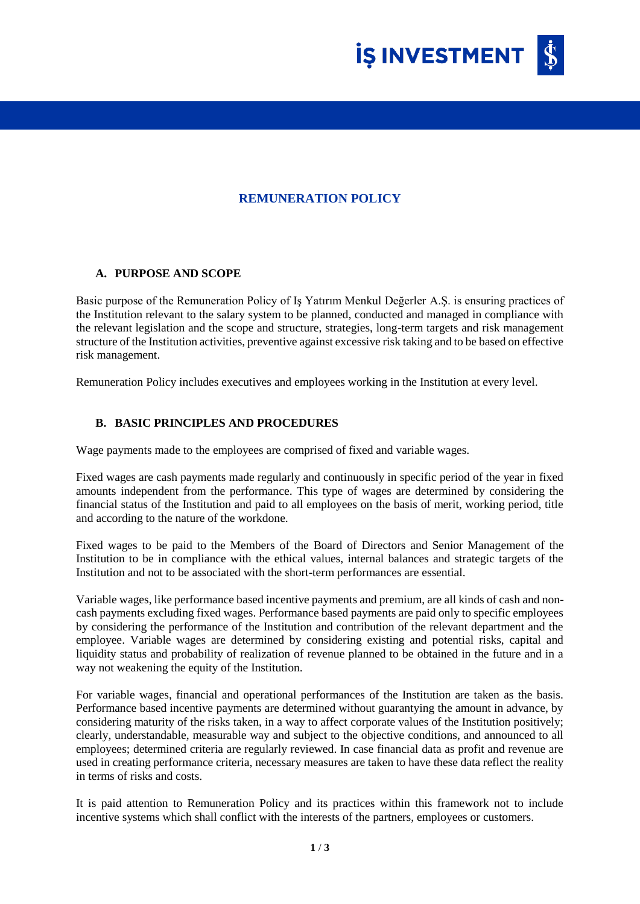

# **REMUNERATION POLICY**

### **A. PURPOSE AND SCOPE**

Basic purpose of the Remuneration Policy of Iş Yatırım Menkul Değerler A.Ş. is ensuring practices of the Institution relevant to the salary system to be planned, conducted and managed in compliance with the relevant legislation and the scope and structure, strategies, long-term targets and risk management structure of the Institution activities, preventive against excessive risk taking and to be based on effective risk management.

Remuneration Policy includes executives and employees working in the Institution at every level.

### **B. BASIC PRINCIPLES AND PROCEDURES**

Wage payments made to the employees are comprised of fixed and variable wages.

Fixed wages are cash payments made regularly and continuously in specific period of the year in fixed amounts independent from the performance. This type of wages are determined by considering the financial status of the Institution and paid to all employees on the basis of merit, working period, title and according to the nature of the workdone.

Fixed wages to be paid to the Members of the Board of Directors and Senior Management of the Institution to be in compliance with the ethical values, internal balances and strategic targets of the Institution and not to be associated with the short-term performances are essential.

Variable wages, like performance based incentive payments and premium, are all kinds of cash and noncash payments excluding fixed wages. Performance based payments are paid only to specific employees by considering the performance of the Institution and contribution of the relevant department and the employee. Variable wages are determined by considering existing and potential risks, capital and liquidity status and probability of realization of revenue planned to be obtained in the future and in a way not weakening the equity of the Institution.

For variable wages, financial and operational performances of the Institution are taken as the basis. Performance based incentive payments are determined without guarantying the amount in advance, by considering maturity of the risks taken, in a way to affect corporate values of the Institution positively; clearly, understandable, measurable way and subject to the objective conditions, and announced to all employees; determined criteria are regularly reviewed. In case financial data as profit and revenue are used in creating performance criteria, necessary measures are taken to have these data reflect the reality in terms of risks and costs.

It is paid attention to Remuneration Policy and its practices within this framework not to include incentive systems which shall conflict with the interests of the partners, employees or customers.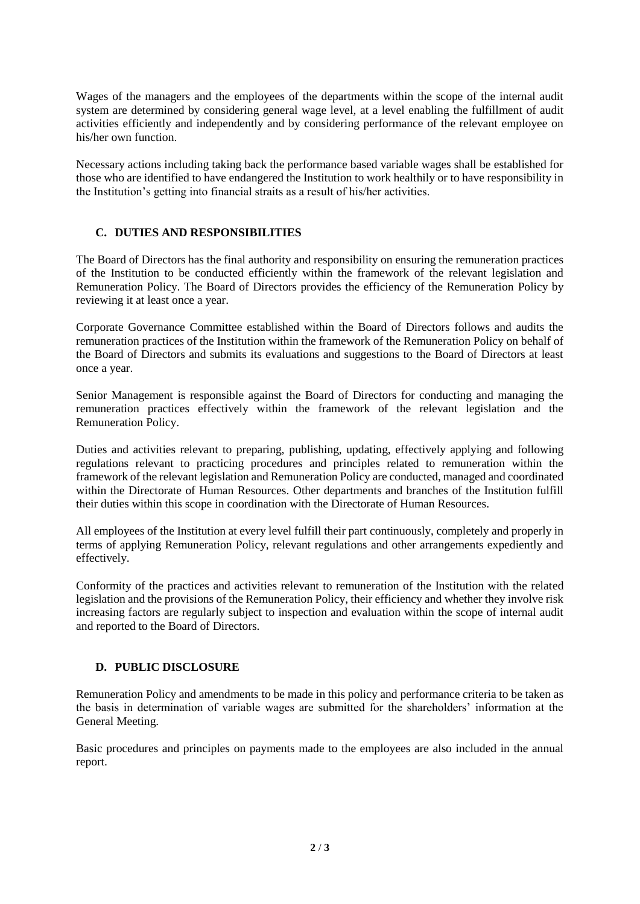Wages of the managers and the employees of the departments within the scope of the internal audit system are determined by considering general wage level, at a level enabling the fulfillment of audit activities efficiently and independently and by considering performance of the relevant employee on his/her own function.

Necessary actions including taking back the performance based variable wages shall be established for those who are identified to have endangered the Institution to work healthily or to have responsibility in the Institution's getting into financial straits as a result of his/her activities.

## **C. DUTIES AND RESPONSIBILITIES**

The Board of Directors has the final authority and responsibility on ensuring the remuneration practices of the Institution to be conducted efficiently within the framework of the relevant legislation and Remuneration Policy. The Board of Directors provides the efficiency of the Remuneration Policy by reviewing it at least once a year.

Corporate Governance Committee established within the Board of Directors follows and audits the remuneration practices of the Institution within the framework of the Remuneration Policy on behalf of the Board of Directors and submits its evaluations and suggestions to the Board of Directors at least once a year.

Senior Management is responsible against the Board of Directors for conducting and managing the remuneration practices effectively within the framework of the relevant legislation and the Remuneration Policy.

Duties and activities relevant to preparing, publishing, updating, effectively applying and following regulations relevant to practicing procedures and principles related to remuneration within the framework of the relevant legislation and Remuneration Policy are conducted, managed and coordinated within the Directorate of Human Resources. Other departments and branches of the Institution fulfill their duties within this scope in coordination with the Directorate of Human Resources.

All employees of the Institution at every level fulfill their part continuously, completely and properly in terms of applying Remuneration Policy, relevant regulations and other arrangements expediently and effectively.

Conformity of the practices and activities relevant to remuneration of the Institution with the related legislation and the provisions of the Remuneration Policy, their efficiency and whether they involve risk increasing factors are regularly subject to inspection and evaluation within the scope of internal audit and reported to the Board of Directors.

## **D. PUBLIC DISCLOSURE**

Remuneration Policy and amendments to be made in this policy and performance criteria to be taken as the basis in determination of variable wages are submitted for the shareholders' information at the General Meeting.

Basic procedures and principles on payments made to the employees are also included in the annual report.